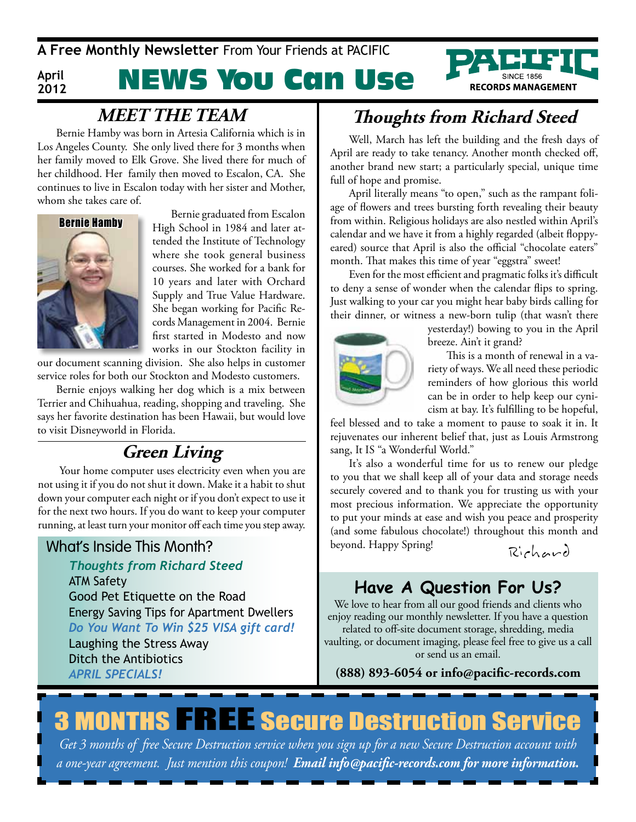**A Free Monthly Newsletter** From Your Friends at PAciFic

#### **April 2012**

# NEWS You Can Use



Bernie Hamby was born in Artesia California which is in Los Angeles County. She only lived there for 3 months when her family moved to Elk Grove. She lived there for much of her childhood. Her family then moved to Escalon, CA. She continues to live in Escalon today with her sister and Mother, whom she takes care of.



Bernie graduated from Escalon High School in 1984 and later attended the Institute of Technology where she took general business courses. She worked for a bank for 10 years and later with Orchard Supply and True Value Hardware. She began working for Pacific Records Management in 2004. Bernie first started in Modesto and now works in our Stockton facility in

our document scanning division. She also helps in customer service roles for both our Stockton and Modesto customers.

Bernie enjoys walking her dog which is a mix between Terrier and Chihuahua, reading, shopping and traveling. She says her favorite destination has been Hawaii, but would love to visit Disneyworld in Florida.

### **Green Living**

 Your home computer uses electricity even when you are not using it if you do not shut it down. Make it a habit to shut down your computer each night or if you don't expect to use it for the next two hours. If you do want to keep your computer running, at least turn your monitor off each time you step away.

#### What's Inside This Month?

*Thoughts from Richard Steed* ATM Safety Good Pet Etiquette on the Road Energy Saving Tips for Apartment Dwellers *Do You Want To Win \$25 VISA gift card!* Laughing the Stress Away Ditch the Antibiotics *ApRIl SpecIAlS!*

## **MEET THE TEAM Thoughts from Richard Steed**

Well, March has left the building and the fresh days of April are ready to take tenancy. Another month checked off, another brand new start; a particularly special, unique time full of hope and promise.

April literally means "to open," such as the rampant foliage of flowers and trees bursting forth revealing their beauty from within. Religious holidays are also nestled within April's calendar and we have it from a highly regarded (albeit floppyeared) source that April is also the official "chocolate eaters" month. That makes this time of year "eggstra" sweet!

Even for the most efficient and pragmatic folks it's difficult to deny a sense of wonder when the calendar flips to spring. Just walking to your car you might hear baby birds calling for their dinner, or witness a new-born tulip (that wasn't there



yesterday!) bowing to you in the April breeze. Ain't it grand?

This is a month of renewal in a variety of ways. We all need these periodic reminders of how glorious this world can be in order to help keep our cynicism at bay. It's fulfilling to be hopeful,

feel blessed and to take a moment to pause to soak it in. It rejuvenates our inherent belief that, just as Louis Armstrong sang, It IS "a Wonderful World."

It's also a wonderful time for us to renew our pledge to you that we shall keep all of your data and storage needs securely covered and to thank you for trusting us with your most precious information. We appreciate the opportunity to put your minds at ease and wish you peace and prosperity (and some fabulous chocolate!) throughout this month and beyond. Happy Spring!

Rich ard

### **Have A Question For Us?**

We love to hear from all our good friends and clients who enjoy reading our monthly newsletter. If you have a question related to off-site document storage, shredding, media vaulting, or document imaging, please feel free to give us a call or send us an email.

**(888) 893-6054 or info@pacific-records.com**

# **3 MONTHS FREE Secure Destruction Service**

*Get 3 months of free Secure Destruction service when you sign up for a new Secure Destruction account with a one-year agreement. Just mention this coupon! Email info@pacific-records.com for more information.*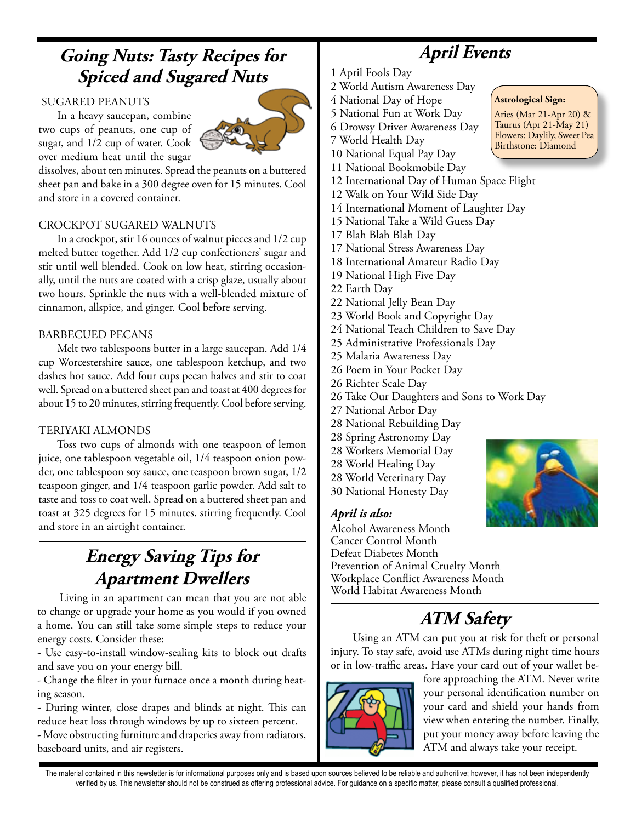### **Going Nuts: Tasty Recipes for Spiced and Sugared Nuts**

#### SuGARED PEANuTS

In a heavy saucepan, combine two cups of peanuts, one cup of sugar, and 1/2 cup of water. Cook over medium heat until the sugar



dissolves, about ten minutes. Spread the peanuts on a buttered sheet pan and bake in a 300 degree oven for 15 minutes. Cool and store in a covered container.

#### CROCkPOT SuGARED WALNuTS

In a crockpot, stir 16 ounces of walnut pieces and 1/2 cup melted butter together. Add 1/2 cup confectioners' sugar and stir until well blended. Cook on low heat, stirring occasionally, until the nuts are coated with a crisp glaze, usually about two hours. Sprinkle the nuts with a well-blended mixture of cinnamon, allspice, and ginger. Cool before serving.

#### BARBECuED PECANS

Melt two tablespoons butter in a large saucepan. Add 1/4 cup Worcestershire sauce, one tablespoon ketchup, and two dashes hot sauce. Add four cups pecan halves and stir to coat well. Spread on a buttered sheet pan and toast at 400 degrees for about 15 to 20 minutes, stirring frequently. Cool before serving.

#### TERIYAkI ALMONDS

Toss two cups of almonds with one teaspoon of lemon juice, one tablespoon vegetable oil, 1/4 teaspoon onion powder, one tablespoon soy sauce, one teaspoon brown sugar, 1/2 teaspoon ginger, and 1/4 teaspoon garlic powder. Add salt to taste and toss to coat well. Spread on a buttered sheet pan and toast at 325 degrees for 15 minutes, stirring frequently. Cool and store in an airtight container.

### **Energy Saving Tips for Apartment Dwellers**

 Living in an apartment can mean that you are not able to change or upgrade your home as you would if you owned a home. You can still take some simple steps to reduce your energy costs. Consider these:

- Use easy-to-install window-sealing kits to block out drafts and save you on your energy bill.

- Change the filter in your furnace once a month during heating season.

- During winter, close drapes and blinds at night. This can reduce heat loss through windows by up to sixteen percent. - Move obstructing furniture and draperies away from radiators, baseboard units, and air registers.

## **April Events**

**Astrological Sign:**  Aries (Mar 21-Apr 20) & Taurus (Apr 21-May 21) Flowers: Daylily, Sweet Pea Birthstone: Diamond

- 1 April Fools Day
- 2 World Autism Awareness Day
- 4 National Day of Hope
- 5 National Fun at Work Day
- 6 Drowsy Driver Awareness Day
- 7 World Health Day
- 10 National Equal Pay Day
- 11 National Bookmobile Day
- 12 International Day of Human Space Flight
- 12 Walk on Your Wild Side Day
- 14 International Moment of Laughter Day
- 15 National Take a Wild Guess Day
- 17 Blah Blah Blah Day
- 17 National Stress Awareness Day
- 18 International Amateur Radio Day
- 19 National High Five Day
- 22 Earth Day
- 22 National Jelly Bean Day
- 23 World Book and Copyright Day
- 24 National Teach Children to Save Day
- 25 Administrative Professionals Day
- 25 Malaria Awareness Day
- 26 Poem in Your Pocket Day
- 26 Richter Scale Day
- 26 Take Our Daughters and Sons to Work Day
- 27 National Arbor Day
- 28 National Rebuilding Day
- 28 Spring Astronomy Day
- 28 Workers Memorial Day
- 28 World Healing Day
- 28 World Veterinary Day
- 30 National Honesty Day

#### *April is also:*

Alcohol Awareness Month Cancer Control Month Defeat Diabetes Month Prevention of Animal Cruelty Month Workplace Conflict Awareness Month World Habitat Awareness Month

### **ATM Safety**

Using an ATM can put you at risk for theft or personal injury. To stay safe, avoid use ATMs during night time hours or in low-traffic areas. Have your card out of your wallet be-



fore approaching the ATM. Never write your personal identification number on your card and shield your hands from view when entering the number. Finally, put your money away before leaving the ATM and always take your receipt.

The material contained in this newsletter is for informational purposes only and is based upon sources believed to be reliable and authoritive; however, it has not been independently verified by us. This newsletter should not be construed as offering professional advice. For guidance on a specific matter, please consult a qualified professional.

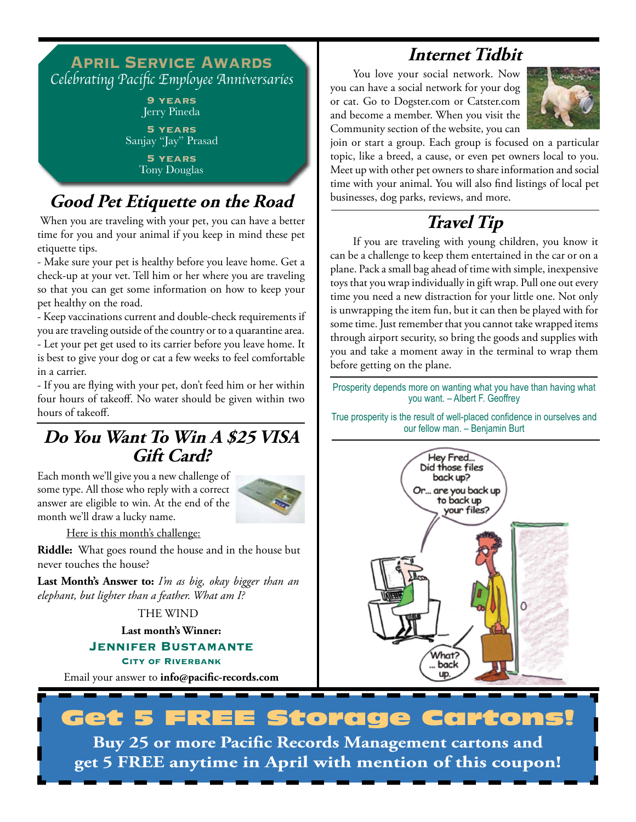#### **April Service Awards** Celebrating Pacific Employee Anniversaries **9 years** Jerry Pineda **5 years** Sanjay "Jay" Prasad **5 years** Tony Douglas

### **Good Pet Etiquette on the Road**

 When you are traveling with your pet, you can have a better time for you and your animal if you keep in mind these pet etiquette tips.

- Make sure your pet is healthy before you leave home. Get a check-up at your vet. Tell him or her where you are traveling so that you can get some information on how to keep your pet healthy on the road.

- keep vaccinations current and double-check requirements if you are traveling outside of the country or to a quarantine area.

- Let your pet get used to its carrier before you leave home. It is best to give your dog or cat a few weeks to feel comfortable in a carrier.

- If you are flying with your pet, don't feed him or her within four hours of takeoff. No water should be given within two hours of takeoff.

### **Do You Want To Win A \$25 VISA Gift Card?**

Each month we'll give you a new challenge of some type. All those who reply with a correct answer are eligible to win. At the end of the month we'll draw a lucky name.



Here is this month's challenge:

**Riddle:** What goes round the house and in the house but never touches the house?

**Last Month's Answer to:** *I'm as big, okay bigger than an elephant, but lighter than a feather. What am I?*

THE WIND

**Last month's Winner:**

**Jennifer Bustamante City of Riverbank**

Email your answer to **info@pacific-records.com**

### **Internet Tidbit**

 You love your social network. Now you can have a social network for your dog or cat. Go to Dogster.com or Catster.com and become a member. When you visit the Community section of the website, you can



join or start a group. Each group is focused on a particular topic, like a breed, a cause, or even pet owners local to you. Meet up with other pet owners to share information and social time with your animal. You will also find listings of local pet businesses, dog parks, reviews, and more.

# **Travel Tip**

 If you are traveling with young children, you know it can be a challenge to keep them entertained in the car or on a plane. Pack a small bag ahead of time with simple, inexpensive toys that you wrap individually in gift wrap. Pull one out every time you need a new distraction for your little one. Not only is unwrapping the item fun, but it can then be played with for some time. Just remember that you cannot take wrapped items through airport security, so bring the goods and supplies with you and take a moment away in the terminal to wrap them before getting on the plane.

Prosperity depends more on wanting what you have than having what you want. – Albert F. Geoffrey

True prosperity is the result of well-placed confidence in ourselves and our fellow man. – Benjamin Burt